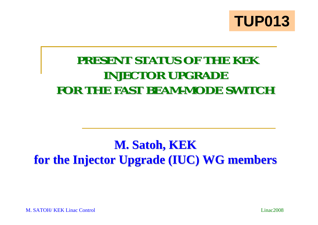

## PRESENT STATUS OF THE KEK **INJECTOR UPGRADE** FOR THE FAST BEAM-MODE SWITCH

## $M.$  Satoh, KEK **for the Injector Upgrade (IUC) WG members for the Injector Upgrade (IUC) WG members**

M. SATOH/ KEK Linac Control

Linac2008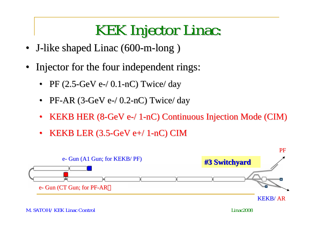## KEK Injector Linac:

- •J-like shaped Linac (600-m-long)
- Injector for the four independent rings:
	- •PF  $(2.5$ -GeV e- $/$  0.1-nC) Twice $/$  day
	- $\bullet$ PF-AR  $(3$ -GeV e- $/$  0.2-nC) Twice $/$  day
	- •KEKB HER  $(8\text{-}GeV$  e- $/1\text{-}nC)$  Continuous Injection Mode (CIM)
	- $\bullet$ KEKB LER  $(3.5\text{-GeV}$  e+/ 1-nC) CIM

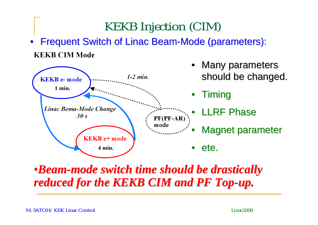Frequent Switch of Linac Beam-Mode (parameters): •**KEKB CIM Mode** 

KEKB Injection (CIM)



•*Beam-mode switch time should be drastically mode switch time should be drastically reduced for the KEKB CIM and PF Top-up.*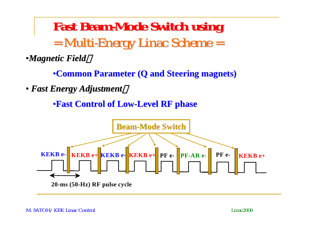Fast Beam-Mode Switch using  $=$  Multi-Energy Linac Scheme  $=$ 

•*Magnetic Field Magnetic Field*:

•**Common Parameter (Q and Steering magnets) Common Parameter (Q and Steering magnets)**

• *Fast Energy Adjustment Fast Energy Adjustment*:

•**Fast Control of Low Fast Control of Low-Level RF phase Level RF phase**